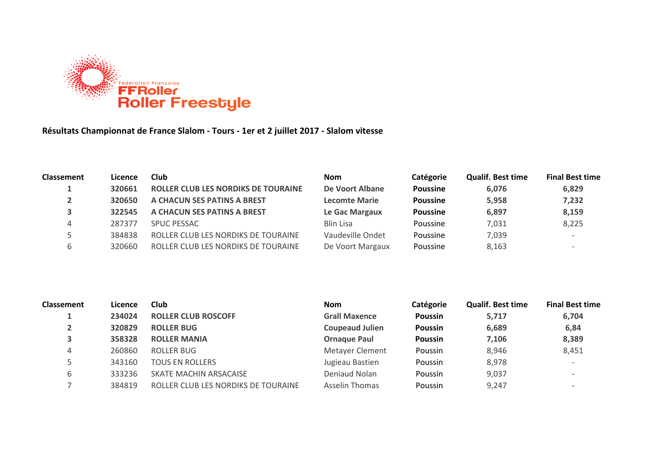

**Résultats Championnat de France Slalom - Tours - 1er et 2 juillet 2017 - Slalom vitesse**

| <b>Classement</b> | Licence | Club                                       | <b>Nom</b>           | Catégorie       | <b>Qualif. Best time</b> | <b>Final Best time</b> |
|-------------------|---------|--------------------------------------------|----------------------|-----------------|--------------------------|------------------------|
|                   | 320661  | <b>ROLLER CLUB LES NORDIKS DE TOURAINE</b> | De Voort Albane      | <b>Poussine</b> | 6,076                    | 6,829                  |
|                   | 320650  | A CHACUN SES PATINS A BREST                | <b>Lecomte Marie</b> | <b>Poussine</b> | 5.958                    | 7,232                  |
|                   | 322545  | A CHACUN SES PATINS A BREST                | Le Gac Margaux       | <b>Poussine</b> | 6,897                    | 8,159                  |
|                   | 287377  | SPUC PESSAC                                | <b>Blin Lisa</b>     | Poussine        | 7,031                    | 8,225                  |
|                   | 384838  | ROLLER CLUB LES NORDIKS DE TOURAINE        | Vaudeville Ondet     | Poussine        | 7,039                    |                        |
|                   | 320660  | ROLLER CLUB LES NORDIKS DE TOURAINE        | De Voort Margaux     | Poussine        | 8,163                    |                        |

| <b>Classement</b> | Licence | <b>Club</b>                         | <b>Nom</b>             | Catégorie      | <b>Qualif. Best time</b> | <b>Final Best time</b> |
|-------------------|---------|-------------------------------------|------------------------|----------------|--------------------------|------------------------|
|                   | 234024  | <b>ROLLER CLUB ROSCOFF</b>          | <b>Grall Maxence</b>   | Poussin        | 5,717                    | 6,704                  |
| ▴                 | 320829  | <b>ROLLER BUG</b>                   | <b>Coupeaud Julien</b> | <b>Poussin</b> | 6,689                    | 6,84                   |
| 3                 | 358328  | <b>ROLLER MANIA</b>                 | <b>Ornaque Paul</b>    | <b>Poussin</b> | 7,106                    | 8,389                  |
| 4                 | 260860  | ROLLER BUG                          | <b>Metayer Clement</b> | Poussin        | 8.946                    | 8,451                  |
|                   | 343160  | <b>TOUS EN ROLLERS</b>              | Jugieau Bastien        | Poussin        | 8,978                    |                        |
| b                 | 333236  | SKATE MACHIN ARSACAISE              | Deniaud Nolan          | Poussin        | 9,037                    |                        |
|                   | 384819  | ROLLER CLUB LES NORDIKS DE TOURAINE | Asselin Thomas         | Poussin        | 9,247                    |                        |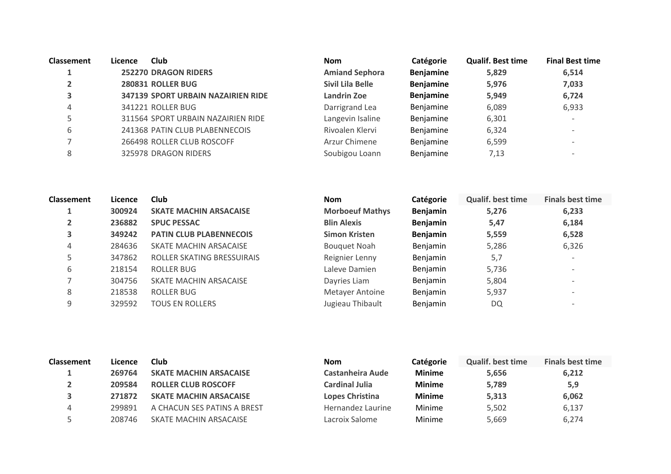| <b>Classement</b> | Licence | Club                               | <b>Nom</b>            | Catégorie        | <b>Qualif. Best time</b> | <b>Final Best time</b> |
|-------------------|---------|------------------------------------|-----------------------|------------------|--------------------------|------------------------|
|                   |         | <b>252270 DRAGON RIDERS</b>        | <b>Amiand Sephora</b> | <b>Benjamine</b> | 5,829                    | 6,514                  |
|                   |         | 280831 ROLLER BUG                  | Sivil Lila Belle      | <b>Benjamine</b> | 5,976                    | 7,033                  |
| 3                 |         | 347139 SPORT URBAIN NAZAIRIEN RIDE | Landrin Zoe           | <b>Benjamine</b> | 5,949                    | 6,724                  |
| 4                 |         | 341221 ROLLER BUG                  | Darrigrand Lea        | Benjamine        | 6,089                    | 6,933                  |
|                   |         | 311564 SPORT URBAIN NAZAIRIEN RIDE | Langevin Isaline      | Benjamine        | 6,301                    |                        |
| 6                 |         | 241368 PATIN CLUB PLABENNECOIS     | Rivoalen Klervi       | Benjamine        | 6,324                    |                        |
|                   |         | 266498 ROLLER CLUB ROSCOFF         | Arzur Chimene         | Benjamine        | 6,599                    |                        |
| 8                 |         | 325978 DRAGON RIDERS               | Soubigou Loann        | Benjamine        | 7,13                     |                        |

| Classement | Licence | Club                           | <b>Nom</b>             | Catégorie       | <b>Qualif. best time</b> | <b>Finals best time</b>  |
|------------|---------|--------------------------------|------------------------|-----------------|--------------------------|--------------------------|
|            | 300924  | <b>SKATE MACHIN ARSACAISE</b>  | <b>Morboeuf Mathys</b> | <b>Benjamin</b> | 5,276                    | 6,233                    |
|            | 236882  | <b>SPUC PESSAC</b>             | <b>Blin Alexis</b>     | <b>Benjamin</b> | 5,47                     | 6,184                    |
| 3          | 349242  | <b>PATIN CLUB PLABENNECOIS</b> | <b>Simon Kristen</b>   | <b>Benjamin</b> | 5,559                    | 6,528                    |
| 4          | 284636  | SKATE MACHIN ARSACAISE         | <b>Bouquet Noah</b>    | Benjamin        | 5,286                    | 6,326                    |
| 5          | 347862  | ROLLER SKATING BRESSUIRAIS     | Reignier Lenny         | Benjamin        | 5,7                      | $\overline{\phantom{a}}$ |
| 6          | 218154  | ROLLER BUG                     | Laleve Damien          | Benjamin        | 5,736                    | $\overline{\phantom{0}}$ |
|            | 304756  | SKATE MACHIN ARSACAISE         | Dayries Liam           | Benjamin        | 5,804                    | $\overline{\phantom{0}}$ |
| 8          | 218538  | ROLLER BUG                     | <b>Metayer Antoine</b> | Benjamin        | 5,937                    | $\overline{\phantom{a}}$ |
| 9          | 329592  | <b>TOUS EN ROLLERS</b>         | Jugieau Thibault       | Benjamin        | DQ                       | $\overline{\phantom{a}}$ |

| <b>Classement</b> | Licence | Club                          | <b>Nom</b>            | Catégorie     | <b>Qualif, best time</b> | <b>Finals best time</b> |
|-------------------|---------|-------------------------------|-----------------------|---------------|--------------------------|-------------------------|
|                   | 269764  | <b>SKATE MACHIN ARSACAISE</b> | Castanheira Aude      | <b>Minime</b> | 5.656                    | 6,212                   |
|                   | 209584  | <b>ROLLER CLUB ROSCOFF</b>    | <b>Cardinal Julia</b> | <b>Minime</b> | 5,789                    | 5,9                     |
|                   | 271872  | <b>SKATE MACHIN ARSACAISE</b> | Lopes Christina       | <b>Minime</b> | 5,313                    | 6,062                   |
| 4                 | 299891  | A CHACUN SES PATINS A BREST   | Hernandez Laurine     | Minime        | 5,502                    | 6,137                   |
|                   | 208746  | SKATE MACHIN ARSACAISE        | Lacroix Salome        | Minime        | 5.669                    | 6,274                   |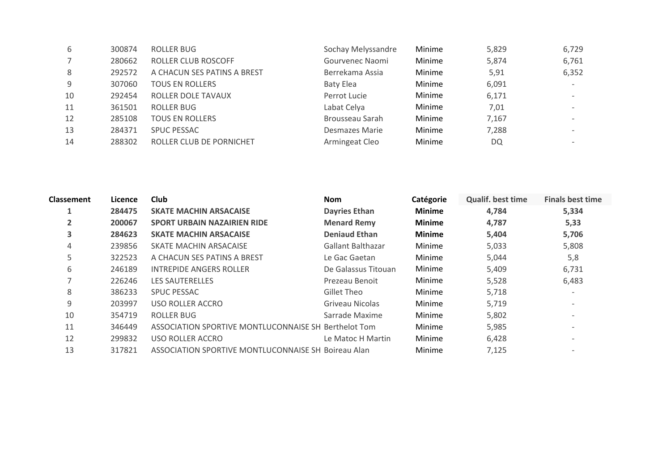| 6  | 300874 | ROLLER BUG                  | Sochay Melyssandre | Minime | 5,829 | 6,729                    |
|----|--------|-----------------------------|--------------------|--------|-------|--------------------------|
| 7  | 280662 | ROLLER CLUB ROSCOFF         | Gourvenec Naomi    | Minime | 5,874 | 6,761                    |
| 8  | 292572 | A CHACUN SES PATINS A BREST | Berrekama Assia    | Minime | 5,91  | 6,352                    |
| 9  | 307060 | <b>TOUS EN ROLLERS</b>      | <b>Baty Elea</b>   | Minime | 6,091 | $\overline{\phantom{0}}$ |
| 10 | 292454 | <b>ROLLER DOLE TAVAUX</b>   | Perrot Lucie       | Minime | 6,171 | $\overline{\phantom{0}}$ |
| 11 | 361501 | ROLLER BUG                  | Labat Celya        | Minime | 7,01  | $\overline{\phantom{0}}$ |
| 12 | 285108 | <b>TOUS EN ROLLERS</b>      | Brousseau Sarah    | Minime | 7,167 | $\overline{\phantom{0}}$ |
| 13 | 284371 | SPUC PESSAC                 | Desmazes Marie     | Minime | 7,288 | $\overline{\phantom{0}}$ |
| 14 | 288302 | ROLLER CLUB DE PORNICHET    | Armingeat Cleo     | Minime | DQ    | $\overline{\phantom{0}}$ |
|    |        |                             |                    |        |       |                          |

| <b>Classement</b> | Licence | Club                                                 | <b>Nom</b>               | Catégorie     | <b>Qualif. best time</b> | <b>Finals best time</b>  |
|-------------------|---------|------------------------------------------------------|--------------------------|---------------|--------------------------|--------------------------|
| 1                 | 284475  | <b>SKATE MACHIN ARSACAISE</b>                        | <b>Dayries Ethan</b>     | <b>Minime</b> | 4,784                    | 5,334                    |
| $\overline{2}$    | 200067  | <b>SPORT URBAIN NAZAIRIEN RIDE</b>                   | <b>Menard Remy</b>       | <b>Minime</b> | 4,787                    | 5,33                     |
| 3                 | 284623  | <b>SKATE MACHIN ARSACAISE</b>                        | <b>Deniaud Ethan</b>     | <b>Minime</b> | 5,404                    | 5,706                    |
| 4                 | 239856  | SKATE MACHIN ARSACAISE                               | <b>Gallant Balthazar</b> | Minime        | 5,033                    | 5,808                    |
| 5                 | 322523  | A CHACUN SES PATINS A BREST                          | Le Gac Gaetan            | Minime        | 5,044                    | 5,8                      |
| 6                 | 246189  | <b>INTREPIDE ANGERS ROLLER</b>                       | De Galassus Titouan      | Minime        | 5,409                    | 6,731                    |
| $\overline{ }$    | 226246  | <b>LES SAUTERELLES</b>                               | Prezeau Benoit           | Minime        | 5,528                    | 6,483                    |
| 8                 | 386233  | <b>SPUC PESSAC</b>                                   | Gillet Theo              | Minime        | 5,718                    | $\overline{\phantom{a}}$ |
| 9                 | 203997  | USO ROLLER ACCRO                                     | Griveau Nicolas          | Minime        | 5,719                    |                          |
| 10                | 354719  | <b>ROLLER BUG</b>                                    | Sarrade Maxime           | Minime        | 5,802                    | $\overline{\phantom{0}}$ |
| 11                | 346449  | ASSOCIATION SPORTIVE MONTLUCONNAISE SH Berthelot Tom |                          | Minime        | 5,985                    |                          |
| 12                | 299832  | USO ROLLER ACCRO                                     | Le Matoc H Martin        | Minime        | 6,428                    |                          |
| 13                | 317821  | ASSOCIATION SPORTIVE MONTLUCONNAISE SH Boireau Alan  |                          | Minime        | 7,125                    |                          |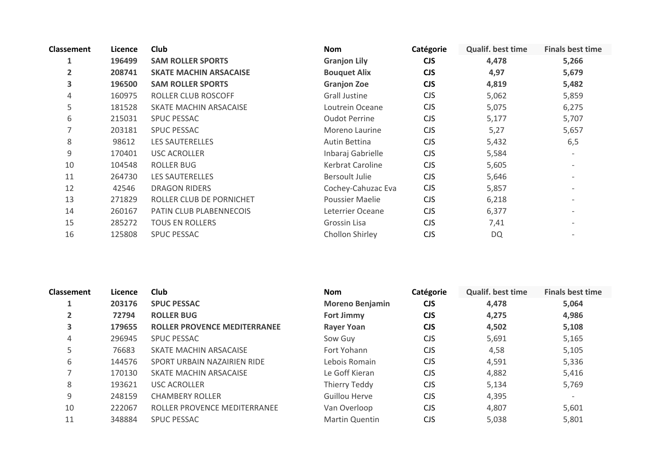| <b>Classement</b> | Licence | Club                           | <b>Nom</b>             | Catégorie  | <b>Qualif. best time</b> | <b>Finals best time</b>  |
|-------------------|---------|--------------------------------|------------------------|------------|--------------------------|--------------------------|
| 1                 | 196499  | <b>SAM ROLLER SPORTS</b>       | <b>Granjon Lily</b>    | <b>CJS</b> | 4,478                    | 5,266                    |
| $\overline{2}$    | 208741  | <b>SKATE MACHIN ARSACAISE</b>  | <b>Bouquet Alix</b>    | <b>CJS</b> | 4,97                     | 5,679                    |
| 3                 | 196500  | <b>SAM ROLLER SPORTS</b>       | <b>Granjon Zoe</b>     | <b>CJS</b> | 4,819                    | 5,482                    |
| 4                 | 160975  | ROLLER CLUB ROSCOFF            | Grall Justine          | <b>CJS</b> | 5,062                    | 5,859                    |
| 5                 | 181528  | SKATE MACHIN ARSACAISE         | Loutrein Oceane        | <b>CJS</b> | 5,075                    | 6,275                    |
| 6                 | 215031  | <b>SPUC PESSAC</b>             | <b>Oudot Perrine</b>   | <b>CJS</b> | 5,177                    | 5,707                    |
| 7                 | 203181  | <b>SPUC PESSAC</b>             | Moreno Laurine         | <b>CJS</b> | 5,27                     | 5,657                    |
| 8                 | 98612   | LES SAUTERELLES                | Autin Bettina          | <b>CJS</b> | 5,432                    | 6,5                      |
| 9                 | 170401  | <b>USC ACROLLER</b>            | Inbaraj Gabrielle      | <b>CJS</b> | 5,584                    | $\overline{\phantom{a}}$ |
| 10                | 104548  | <b>ROLLER BUG</b>              | Kerbrat Caroline       | <b>CJS</b> | 5,605                    |                          |
| 11                | 264730  | LES SAUTERELLES                | Bersoult Julie         | <b>CJS</b> | 5,646                    | $\overline{\phantom{a}}$ |
| 12                | 42546   | <b>DRAGON RIDERS</b>           | Cochey-Cahuzac Eva     | <b>CJS</b> | 5,857                    | $\overline{\phantom{a}}$ |
| 13                | 271829  | ROLLER CLUB DE PORNICHET       | <b>Poussier Maelie</b> | <b>CJS</b> | 6,218                    | $\overline{\phantom{a}}$ |
| 14                | 260167  | <b>PATIN CLUB PLABENNECOIS</b> | Leterrier Oceane       | <b>CJS</b> | 6,377                    | $\overline{\phantom{a}}$ |
| 15                | 285272  | <b>TOUS EN ROLLERS</b>         | Grossin Lisa           | <b>CJS</b> | 7,41                     |                          |
| 16                | 125808  | <b>SPUC PESSAC</b>             | Chollon Shirley        | <b>CJS</b> | <b>DQ</b>                |                          |
|                   |         |                                |                        |            |                          |                          |

| <b>Classement</b> | Licence | Club                                | <b>Nom</b>             | Catégorie  | <b>Qualif. best time</b> | <b>Finals best time</b>  |
|-------------------|---------|-------------------------------------|------------------------|------------|--------------------------|--------------------------|
| 1                 | 203176  | <b>SPUC PESSAC</b>                  | <b>Moreno Benjamin</b> | <b>CJS</b> | 4,478                    | 5,064                    |
| $\overline{2}$    | 72794   | <b>ROLLER BUG</b>                   | <b>Fort Jimmy</b>      | <b>CJS</b> | 4,275                    | 4,986                    |
| 3                 | 179655  | <b>ROLLER PROVENCE MEDITERRANEE</b> | <b>Rayer Yoan</b>      | <b>CJS</b> | 4,502                    | 5,108                    |
| 4                 | 296945  | <b>SPUC PESSAC</b>                  | Sow Guy                | <b>CJS</b> | 5,691                    | 5,165                    |
| 5                 | 76683   | SKATE MACHIN ARSACAISE              | Fort Yohann            | <b>CJS</b> | 4,58                     | 5,105                    |
| 6                 | 144576  | SPORT URBAIN NAZAIRIEN RIDE         | Lebois Romain          | <b>CJS</b> | 4,591                    | 5,336                    |
|                   | 170130  | SKATE MACHIN ARSACAISE              | Le Goff Kieran         | CJS.       | 4,882                    | 5,416                    |
| 8                 | 193621  | USC ACROLLER                        | Thierry Teddy          | CJS.       | 5,134                    | 5,769                    |
| 9                 | 248159  | <b>CHAMBERY ROLLER</b>              | Guillou Herve          | <b>CJS</b> | 4,395                    | $\overline{\phantom{a}}$ |
| 10                | 222067  | ROLLER PROVENCE MEDITERRANEE        | Van Overloop           | <b>CJS</b> | 4,807                    | 5,601                    |
| 11                | 348884  | <b>SPUC PESSAC</b>                  | Martin Quentin         | <b>CJS</b> | 5,038                    | 5,801                    |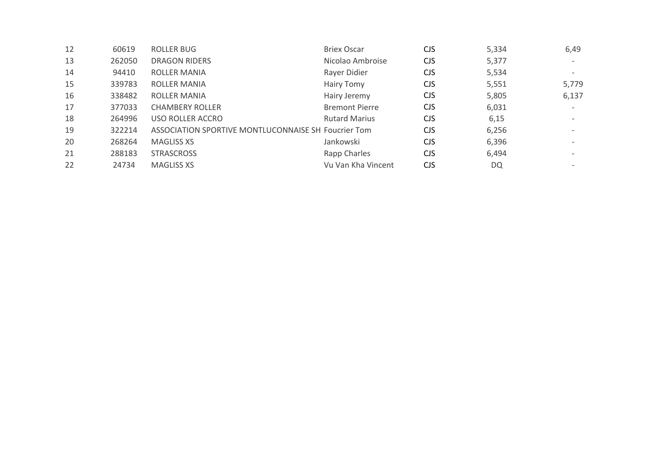| 12 | 60619  | ROLLER BUG                                          | <b>Briex Oscar</b>    | <b>CJS</b> | 5,334 | 6,49                     |
|----|--------|-----------------------------------------------------|-----------------------|------------|-------|--------------------------|
| 13 | 262050 | <b>DRAGON RIDERS</b>                                | Nicolao Ambroise      | <b>CJS</b> | 5,377 | $\overline{\phantom{0}}$ |
| 14 | 94410  | <b>ROLLER MANIA</b>                                 | Rayer Didier          | <b>CJS</b> | 5,534 | $\overline{\phantom{0}}$ |
| 15 | 339783 | ROLLER MANIA                                        | Hairy Tomy            | <b>CJS</b> | 5,551 | 5,779                    |
| 16 | 338482 | <b>ROLLER MANIA</b>                                 | Hairy Jeremy          | <b>CJS</b> | 5,805 | 6,137                    |
| 17 | 377033 | <b>CHAMBERY ROLLER</b>                              | <b>Bremont Pierre</b> | <b>CJS</b> | 6,031 | $\overline{\phantom{0}}$ |
| 18 | 264996 | USO ROLLER ACCRO                                    | <b>Rutard Marius</b>  | <b>CJS</b> | 6,15  | $\overline{\phantom{0}}$ |
| 19 | 322214 | ASSOCIATION SPORTIVE MONTLUCONNAISE SH Foucrier Tom |                       | CJS.       | 6,256 | $\overline{\phantom{0}}$ |
| 20 | 268264 | <b>MAGLISS XS</b>                                   | Jankowski             | <b>CJS</b> | 6,396 | $\overline{\phantom{0}}$ |
| 21 | 288183 | <b>STRASCROSS</b>                                   | Rapp Charles          | <b>CJS</b> | 6,494 | $\overline{\phantom{0}}$ |
| 22 | 24734  | <b>MAGLISS XS</b>                                   | Vu Van Kha Vincent    | <b>CJS</b> | DQ    | $\overline{\phantom{0}}$ |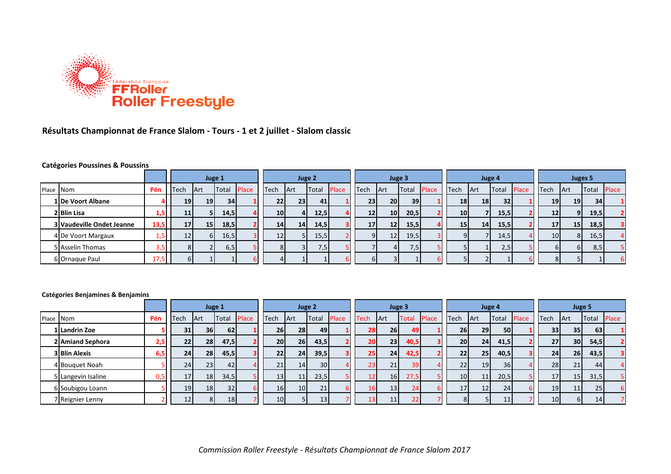

## **Résultats Championnat de France Slalom - Tours - 1 et 2 juillet - Slalom classic**

#### **Catégories Poussines & Poussins**

|           |                                  |      |                 |                 | Juge 1       |       |                 | Juge 2     |       |              | Juge 3          |                 |                 |       |                 |                 | Juge 4          |              | Juges 5         |                 |       |              |  |
|-----------|----------------------------------|------|-----------------|-----------------|--------------|-------|-----------------|------------|-------|--------------|-----------------|-----------------|-----------------|-------|-----------------|-----------------|-----------------|--------------|-----------------|-----------------|-------|--------------|--|
| Place Nom |                                  | Pén  | Tech            | <b>IArt</b>     | <b>Total</b> | Place | Tech            | <b>Art</b> | Total | <b>Place</b> | Tech            | <b>Art</b>      | Total           | Place | Tech            | Art             | Total           | <b>Place</b> | Tech            | <b>Art</b>      | Total | Place        |  |
|           | 1 De Voort Albane                |      | 19 <sub>l</sub> | 19 <sup>1</sup> | 34           |       | 22              | 231        | 41    |              | 23              | <b>20</b>       | 39 <sup>1</sup> |       | 18              | 18 <sup>1</sup> | 32 <sub>1</sub> |              | 19 <sup>1</sup> | 19 <sup>1</sup> | 34    |              |  |
|           | 2 Blin Lisa                      | 1,5  | <b>11</b>       |                 | 14,5         |       | 10 <sup>1</sup> | 4          | 12,5  |              | 12              | 10 <sup>1</sup> | 20,5            |       | 10 <sub>l</sub> |                 | 15,5            |              | 12              | 9 <sub>l</sub>  | 19,5  |              |  |
|           | <b>3 Vaudeville Ondet Jeanne</b> | 13,5 | 17 <sup>1</sup> | 15 <sub>1</sub> | 18,5         |       | 14              | 14         | 14,5  |              | 17 <sup>1</sup> | 12 <sub>1</sub> | 15,5            |       | 15              | 14 I            | 15,5            |              | 17              | 15 <sub>1</sub> | 18,5  | $\mathbf{3}$ |  |
|           | 4 De Voort Margaux               | L,5  | 12              | 61              | 16,5         |       | 12              |            | 15,5  |              |                 | 12              | 19,5            |       | Q               |                 | 14,5            |              | 10 <sup>1</sup> | 8 <sup>1</sup>  | 16,5  |              |  |
|           | 5 Asselin Thomas                 | 3,5  | 81              |                 | 6,5          |       | 81              |            | 7,5   |              |                 |                 | 7,5             |       |                 |                 | 2,5             |              |                 | -61             | 8,5   |              |  |
|           | 6 Ornaque Paul                   | 17,5 |                 |                 |              |       |                 |            |       |              |                 |                 |                 |       |                 |                 |                 |              |                 |                 |       |              |  |

#### **Catégories Benjamines & Benjamins**

|           |                      |     |                 | Juge 1          |             |                 | Juge 2          |                 |       | Juge 3          |                 |                 |              |                 | Juge 4          |              |              | Juge 5          |                 |       |       |
|-----------|----------------------|-----|-----------------|-----------------|-------------|-----------------|-----------------|-----------------|-------|-----------------|-----------------|-----------------|--------------|-----------------|-----------------|--------------|--------------|-----------------|-----------------|-------|-------|
| Place Nom |                      | Pén | Tech            | <b>Art</b>      | Total Place | Tech            | Art             | Total           | Place | Tech            | <b>Art</b>      | Total           | <b>Place</b> | Tech            | <b>Art</b>      | <b>Total</b> | <b>Place</b> | Tech            | <b>Art</b>      | Total | Place |
|           | 1 Landrin Zoe        |     | 31              | 36 <sup>1</sup> | 62          | 26              | 28              | 49              |       | 28              | 26 <sub>1</sub> | 49              |              | 26              | 29              | 50           |              | 33              | 35              | 63    |       |
|           | 2 Amiand Sephora     | 2,5 | 22              | 28              | 47,5        | 20 <sub>l</sub> | 26 <sub>1</sub> | 43,5            |       | 20              | 23              | 40,5            |              | 20 <sup>1</sup> | 24              | 41,5         |              | 27              | 30 <sup>1</sup> | 54,5  |       |
|           | <b>3 Blin Alexis</b> | 6,5 | 24              | 28              | 45,5        | 22              | 24              | 39,5            |       | 25              | 24              | 42,5            |              | 22              | 25              | 40,5         |              | 24 <sub>1</sub> | 26              | 43,5  |       |
|           | 4 Bouguet Noah       |     | 24              | 23              | 42          | 21              | 14              | 30 <sup>1</sup> |       | 23              | 21              | 39              |              | 22              | 19              | 36           |              | 28              | 21              | 44    |       |
|           | 5 Langevin Isaline   | 0,5 | 17 <sup>1</sup> | 18              | 34,5        | 13              | 11              | 23,5            |       | 12.             | 16 <sup>1</sup> | 27,5            |              | 10 <sub>1</sub> | 11              | 20,5         |              | 17              | 15 <sub>l</sub> | 31,5  |       |
|           | 6 Soubigou Loann     |     | 19              | 18              | 32          | 16              | 10 <sup>1</sup> | 21              |       | 16 <sub>1</sub> | 13              | 24              |              | 17              | 12 <sub>1</sub> | 24           |              | 19              | 11              | 25    |       |
|           | 7 Reignier Lenny     |     | 12              | 81              | 18          | 10 <sup>1</sup> |                 | 13              |       | 13 <sub>1</sub> | 11              | 22 <sub>1</sub> |              | 8               |                 | 11           |              | 10 <sup>1</sup> | 6I              | 14    |       |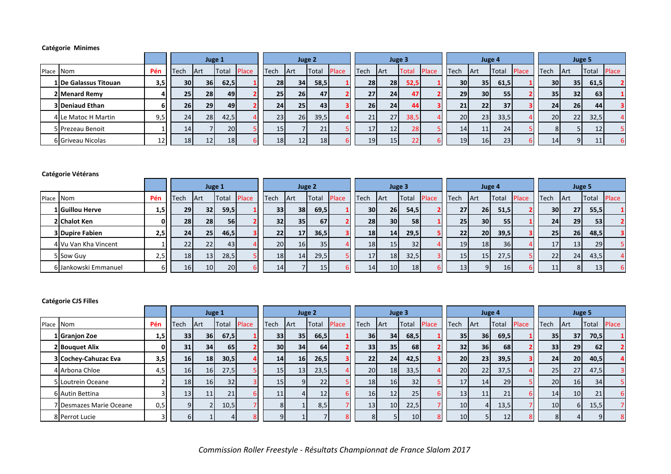### **Catégorie Minimes**

|           |                        |      |                 |                 | Juge 1 |              |                 |                 | Juge 2          |       |                 |                 | Juge 3       |              |                 |                 | Juge 4       |              |                 | Juge 5          |                 |              |
|-----------|------------------------|------|-----------------|-----------------|--------|--------------|-----------------|-----------------|-----------------|-------|-----------------|-----------------|--------------|--------------|-----------------|-----------------|--------------|--------------|-----------------|-----------------|-----------------|--------------|
| Place Nom |                        | Pén. | Tech            | Art             | Total  | <b>Place</b> | Tech            | <b>IArt</b>     | Total           | Place | Tech            | <b>IArt</b>     | <b>Total</b> | <b>Place</b> | Tech            | <b>Art</b>      | <b>Total</b> | <b>Place</b> | Tech            | <b>Art</b>      | Total           | <b>Place</b> |
|           | 1 De Galassus Titouan  | 3,5  | <b>30</b>       | <b>36</b>       | 62,5   |              | <b>28</b>       | 34 <sub>1</sub> | 58,5            |       | 28              | <b>28</b>       | 52,5         |              | <b>30</b>       | 35 <sub>1</sub> | 61,5         |              | 30I             | 35              | 61,5            |              |
|           | 2 Menard Remy          |      | 25              | 28              | 49     |              | 25 <sub>1</sub> | 26 <sup>1</sup> | 47              |       | 27 <sup>1</sup> | 24              | 47           |              | 29 <sup>1</sup> | 30 <sup>1</sup> | 55           |              | 35 <sub>1</sub> | 32 <sub>l</sub> | 63              |              |
|           | <b>3 Deniaud Ethan</b> |      | 26              | 29              | 49     |              | 24              | 25 <sub>1</sub> | 43 <sub>l</sub> |       | 26 <sup>1</sup> | 24              | 44           |              | 21              | 22              | 37           |              | 24 <sup>1</sup> | 26 <sup>1</sup> | 44              |              |
|           | 4 Le Matoc H Martin    | 9,5  | 24              | 28              | 42,5   |              | 23              | 26              | 39,5            |       | 21              | 27              | 38,5         |              | <b>20</b>       | 23 <sup>1</sup> | 33,5         |              | 20 <sup>1</sup> | 22              | 32,5            |              |
|           | 5 Prezeau Benoit       |      | 14              |                 | 20     |              | 15              |                 | 21              |       | 17 <sup>1</sup> | 12              | <b>28</b>    |              | 14              | 11              | 24           |              |                 |                 | 12              |              |
|           | 6 Griveau Nicolas      | 12   | 18 <sup>1</sup> | 12 <sub>l</sub> | 18     |              | 18              | 12              | 18              |       | 19              | 15 <sub>1</sub> |              |              | 19 <sup>1</sup> | 16 <sup>1</sup> | 23           |              | 14              | $\mathbf{Q}$    | 11 <sup>1</sup> | -6           |

#### **Catégorie Vétérans**

|           |                        |     |                 |                 | Juge 1 |              |                 |                 | Juge 2       |              |                 |                 | Juge 3          |              |                 |                 | Juge 4 |              |                 |            | Juge 5 |              |
|-----------|------------------------|-----|-----------------|-----------------|--------|--------------|-----------------|-----------------|--------------|--------------|-----------------|-----------------|-----------------|--------------|-----------------|-----------------|--------|--------------|-----------------|------------|--------|--------------|
| Place Nom |                        | Pén | <b>Tech</b>     | <b>Art</b>      | Total  | <b>Place</b> | Tech            | <b>IArt</b>     | <b>Total</b> | <b>Place</b> | Tech            | <b>Art</b>      | <b>Total</b>    | <b>Place</b> | <b>Tech</b>     | Art             | Total  | <b>Place</b> | Tech            | <b>Art</b> | Total  | <b>Place</b> |
|           | 1   Guillou Herve      | 1,5 | 29 <sub>l</sub> | 32 <sub>1</sub> | 59,5   |              | 33 <sup>1</sup> | 38 l            | 69,5         |              | 30 <sup>1</sup> | <b>26</b>       | 54,5            |              | 27              | <b>261</b>      | 51,5   |              | 30 <sup>1</sup> | 27         | 55,5   |              |
|           | 2 Chalot Ken           | 01  | 28              | <b>28</b>       | 56     |              | 32              | 35 <sub>1</sub> | 67           |              | 28              | 30 <sup>1</sup> | 58 <sup>1</sup> |              | 25 <sub>1</sub> | 30 <sup>1</sup> | 55     |              | 24 <sup>1</sup> | 29         | 53     |              |
|           | <b>3 Dupire Fabien</b> | 2,5 | 24              | <b>25</b>       | 46,5   |              | 22              | 17              | 36,5         |              | 18              | 14              | 29,5            |              | 22              | <b>20</b>       | 39,5   |              | 25 <sub>1</sub> | 26         | 48,5   |              |
|           | 4 Vu Van Kha Vincent   |     | 22              | 22              | 43     |              | 20 <sup>1</sup> | 16 <sup>1</sup> | 35           |              | 18              | 15 <sub>l</sub> | 32              |              | 19 <sup>l</sup> | 18              | 36     |              | 17 <sup>1</sup> | 13         | 29     |              |
|           | 5 Sow Guy              | 2,5 | <b>18</b>       | 13              | 28,5   |              | 18              | 14              | 29,5         |              | 17 <sup>1</sup> | 18              | 32,5            |              | 15 <sub>l</sub> | 15 <sup>1</sup> | 27,5   |              | 22              | 24         | 43,5   | 4            |
|           | 6 Jankowski Emmanuel   |     | <b>16</b>       | 10 <sup>1</sup> | 20     |              | 14              |                 | 15           |              | 14              | 10 <sup>1</sup> | 18              |              | 13              | 9 <sup>1</sup>  | 16     |              | 11              | 8I         | 13     | 6            |

### **Catégorie CJS Filles**

|           |                         |     |                 |                 | Juge 1 |       |                 | Juge 2          |       |       |                 |                 | Juge 3          |              |                 | Juge 4          |           |              |                 | Juge 5          |          |              |
|-----------|-------------------------|-----|-----------------|-----------------|--------|-------|-----------------|-----------------|-------|-------|-----------------|-----------------|-----------------|--------------|-----------------|-----------------|-----------|--------------|-----------------|-----------------|----------|--------------|
| Place Nom |                         | Pén | Tech            | Art             | Total  | Place | Tech            | <b>Art</b>      | Total | Place | Tech            | <b>Art</b>      | Total           | <b>Place</b> | Tech            | <b>Art</b>      | Total     | <b>Place</b> | Tech            | <b>Art</b>      | Total    | <b>Place</b> |
|           | 1 Granjon Zoe           | 1,5 | 33 <sup>1</sup> | <b>36</b>       | 67,5   |       | 33              | 35              | 66,5  |       | 36 <sup>1</sup> | 34              | 68,5            |              | 35 <sub>1</sub> | <b>36</b>       | 69,5      |              | 35 <sub>1</sub> | 37 <sup>1</sup> | 70,5     |              |
|           | 2 Bouquet Alix          |     | 31              | 34 <sub>1</sub> | 65     |       | 30 <sup>1</sup> | 34 <sub>1</sub> | 64    |       | 33              | 35 <sub>1</sub> | <b>68</b>       |              | 32 <sub>1</sub> | 36 <sup>1</sup> | <b>68</b> |              | 33              | 29              | 62       |              |
|           | 3 Cochey-Cahuzac Eva    | 3,5 | 16 <sub>l</sub> | 18 <sup>l</sup> | 30,5   |       | 14              | 16              | 26,5  |       | 22              | 24              | 42,5            |              | 20 <sup>1</sup> | 23 <sup>1</sup> | 39,5      |              | 24              | 20 <sup>1</sup> | 40,5     |              |
|           | 4 Arbona Chloe          | 4,5 | 16              | 16              | 27,5   |       | 15              | 13              | 23,5  |       | 20              | 18              | 33,5            |              | 20 <sub>1</sub> | 22              | 37,5      |              | 25              | 27              | 47,5     |              |
|           | 5 Loutrein Oceane       |     | 18              | 16              | 32     |       | 15              | $\mathbf{Q}$    | 22    |       | 18              | 16              | 32              |              | 17              | 14              | <b>29</b> |              | 20              | 16              | 34       |              |
|           | 6 Autin Bettina         |     | 131             | 11              | 21     |       | 11              |                 | 12    |       | 16              | 12              | 25 <sub>1</sub> |              | 13              | 11              | 21        |              | 14              | 10 <sup>1</sup> | 21       | -61          |
|           | 7 Desmazes Marie Oceane | 0,5 |                 |                 | 10,5   |       |                 |                 | 8,5   |       | 13              | 10 <sup>1</sup> | 22,5            |              | 10              | 41              | 13,5      |              | 10 <sub>l</sub> | -61             | 15,5     |              |
|           | 8 Perrot Lucie          |     |                 |                 |        |       |                 |                 |       |       | 8 <sup>1</sup>  |                 | 10 <sup>1</sup> |              | 10              |                 | 12        |              | 8               |                 | $\Omega$ |              |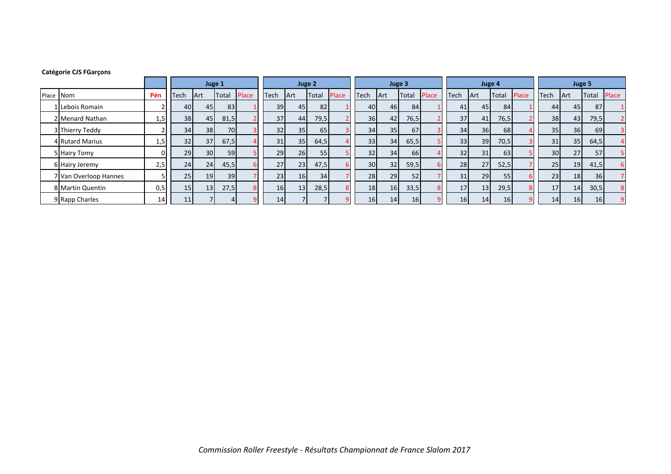#### **Catégorie CJS FGarçons**

|           |                       |     |                 |                 | Juge 1    |       |             |                 | Juge 2 |       |      |                 | Juge 3          |              |      | Juge 4          |                 |       |                 | Juge 5     |                 |       |
|-----------|-----------------------|-----|-----------------|-----------------|-----------|-------|-------------|-----------------|--------|-------|------|-----------------|-----------------|--------------|------|-----------------|-----------------|-------|-----------------|------------|-----------------|-------|
| Place Nom |                       | Pén | Tech            | <b>Art</b>      | Total     | Place | <b>Tech</b> | Art             | Total  | Place | Tech | <b>Art</b>      | Total           | <b>Place</b> | Tech | <b>Art</b>      | <b>Total</b>    | Place | Tech            | <b>Art</b> | Total           | Place |
|           | Lebois Romain         |     | 40 <sup>I</sup> | 45              | 83        |       | 39          | 45 <sub>l</sub> | 82     |       | 40   | 46 <sup>I</sup> | 84              |              | 41   | 45              | 84              |       | 44              | 45         | 87              |       |
|           | 2 Menard Nathan       | 1,5 | 38 <sup>l</sup> | 45              | 81,5      |       | 37          | 44              | 79,5   |       | 36   | 42              | 76,5            |              | 37   | 41              | 76,5            |       | 38              | 43         | 79,5            |       |
|           | 3 Thierry Teddy       |     | 34              | 38              | <b>70</b> |       | 32          | 35              | 65     |       | 34   | 35 <sub>1</sub> | 67              |              | 34   | 36 <sup>1</sup> | 68              |       | 35 <sub>1</sub> | 36         | 69              |       |
|           | 4 Rutard Marius       | 1,5 | 32 <sup>1</sup> | 37              | 67,5      |       | 31          | 35              | 64,5   |       | 33   | 34              | 65,5            |              | 33   | 39              | 70,5            |       | 31              | 35         | 64,5            |       |
|           | 5 Hairy Tomy          | ΩI  | 29              | 30 <sup>1</sup> | 59        |       | 29          | 26              | 55     |       | 32   | 34 <sub>l</sub> | 66 <sup>I</sup> |              | 32   | 31              | 63              |       | 30 <sub>l</sub> | 27         | 57              |       |
|           | 6 Hairy Jeremy        | 2,5 | 24              | 24              | 45,5      |       | 27          | 23              | 47,5   |       | 30   | 32 <sub>1</sub> | 59,5            |              | 28   | 27              | 52,5            |       | 25              | 19         | 41,5            |       |
|           | 7 Van Overloop Hannes |     | 25              | 19              | 39        |       | 23          | 16              | 34     |       | 28   | 29              | 52              |              | 31   | 29              | 55              |       | 23              | 18         | 36              |       |
|           | 8 Martin Quentin      | 0,5 | 15 <sub>1</sub> | 13              | 27,5      |       | 16          | 13              | 28,5   |       | 18   | 16              | 33,5            |              | 17   | 13              | 29,5            |       | 17              | 14         | 30,5            | 8     |
|           | 9 Rapp Charles        | 14  |                 |                 |           |       | 14          |                 |        |       | 16   | 14              | 16              |              | 16   | 14              | 16 <sup>1</sup> |       | 14              | 16         | 16 <sup>1</sup> |       |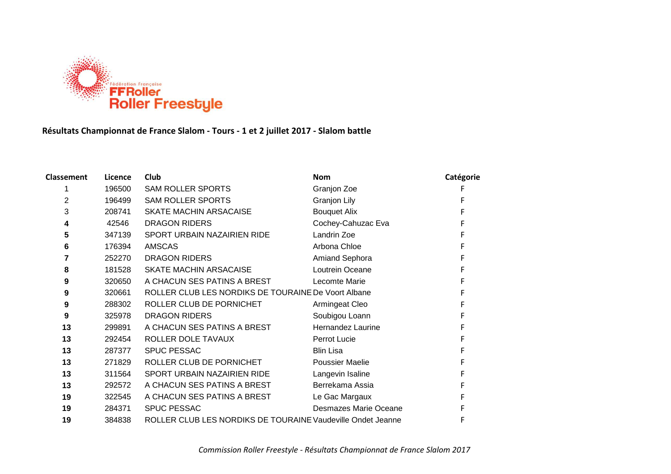

# **Résultats Championnat de France Slalom - Tours - 1 et 2 juillet 2017 - Slalom battle**

| <b>Classement</b> | Licence | Club                                                        | <b>Nom</b>             | Catégorie |
|-------------------|---------|-------------------------------------------------------------|------------------------|-----------|
|                   | 196500  | <b>SAM ROLLER SPORTS</b>                                    | Granjon Zoe            |           |
| 2                 | 196499  | <b>SAM ROLLER SPORTS</b>                                    | <b>Granjon Lily</b>    |           |
| 3                 | 208741  | <b>SKATE MACHIN ARSACAISE</b>                               | <b>Bouquet Alix</b>    |           |
| 4                 | 42546   | <b>DRAGON RIDERS</b>                                        | Cochey-Cahuzac Eva     |           |
| 5                 | 347139  | SPORT URBAIN NAZAIRIEN RIDE                                 | Landrin Zoe            |           |
| 6                 | 176394  | <b>AMSCAS</b>                                               | Arbona Chloe           |           |
| 7                 | 252270  | <b>DRAGON RIDERS</b>                                        | Amiand Sephora         |           |
| 8                 | 181528  | SKATE MACHIN ARSACAISE                                      | Loutrein Oceane        |           |
| 9                 | 320650  | A CHACUN SES PATINS A BREST                                 | Lecomte Marie          |           |
| 9                 | 320661  | ROLLER CLUB LES NORDIKS DE TOURAINE De Voort Albane         |                        |           |
| 9                 | 288302  | ROLLER CLUB DE PORNICHET                                    | Armingeat Cleo         |           |
| 9                 | 325978  | <b>DRAGON RIDERS</b>                                        | Soubigou Loann         |           |
| 13                | 299891  | A CHACUN SES PATINS A BREST                                 | Hernandez Laurine      |           |
| 13                | 292454  | ROLLER DOLE TAVAUX                                          | Perrot Lucie           |           |
| 13                | 287377  | <b>SPUC PESSAC</b>                                          | <b>Blin Lisa</b>       |           |
| 13                | 271829  | ROLLER CLUB DE PORNICHET                                    | <b>Poussier Maelie</b> |           |
| 13                | 311564  | SPORT URBAIN NAZAIRIEN RIDE                                 | Langevin Isaline       |           |
| 13                | 292572  | A CHACUN SES PATINS A BREST                                 | Berrekama Assia        |           |
| 19                | 322545  | A CHACUN SES PATINS A BREST                                 | Le Gac Margaux         |           |
| 19                | 284371  | <b>SPUC PESSAC</b>                                          | Desmazes Marie Oceane  |           |
| 19                | 384838  | ROLLER CLUB LES NORDIKS DE TOURAINE Vaudeville Ondet Jeanne |                        |           |
|                   |         |                                                             |                        |           |